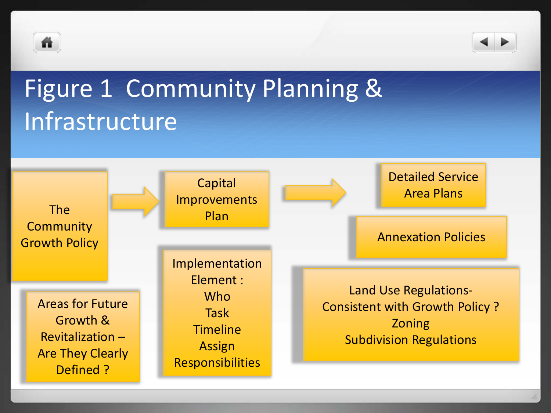



## Figure 1 Community Planning & Infrastructure

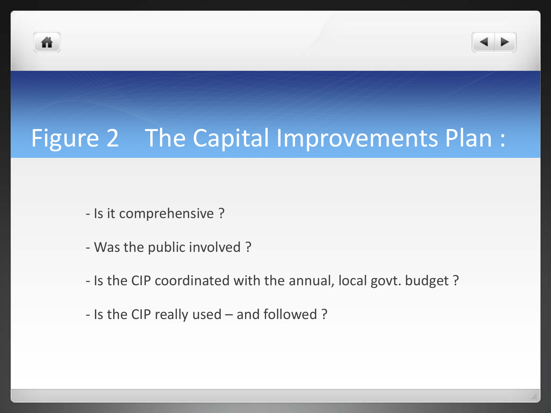



## Figure 2 The Capital Improvements Plan :

- Is it comprehensive ?
- Was the public involved ?
- Is the CIP coordinated with the annual, local govt. budget ?
- Is the CIP really used and followed ?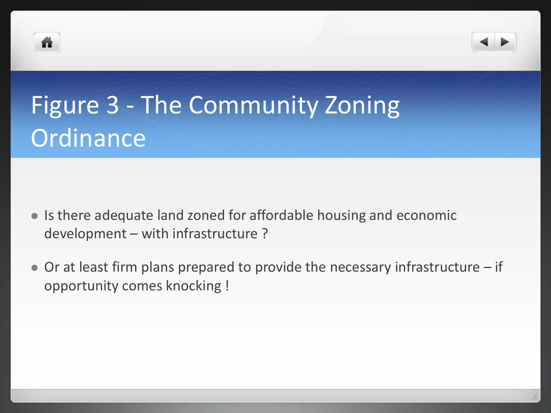



- Is there adequate land zoned for affordable housing and economic development – with infrastructure ?
- Or at least firm plans prepared to provide the necessary infrastructure if opportunity comes knocking !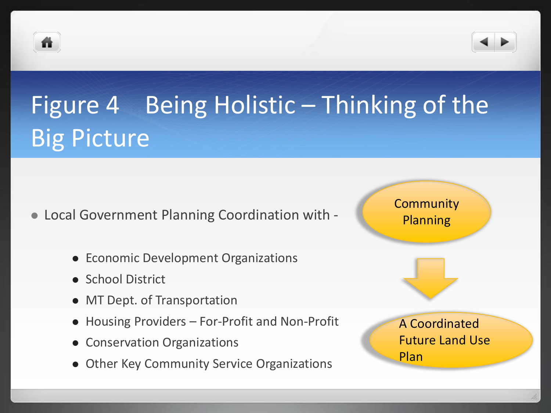



- Local Government Planning Coordination with
	- Economic Development Organizations
	- **School District**
	- MT Dept. of Transportation
	- Housing Providers For-Profit and Non-Profit
	- Conservation Organizations
	- Other Key Community Service Organizations

**Community** Planning A Coordinated Future Land Use Plan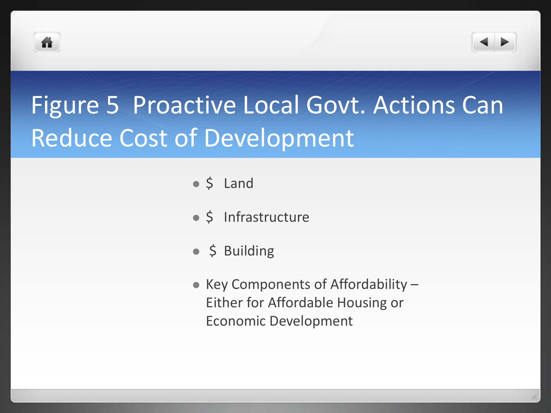



- $\bullet$  \$ Land
- \$ Infrastructure
- $\bullet$  \$ Building
- Key Components of Affordability  $-$ Either for Affordable Housing or Economic Development

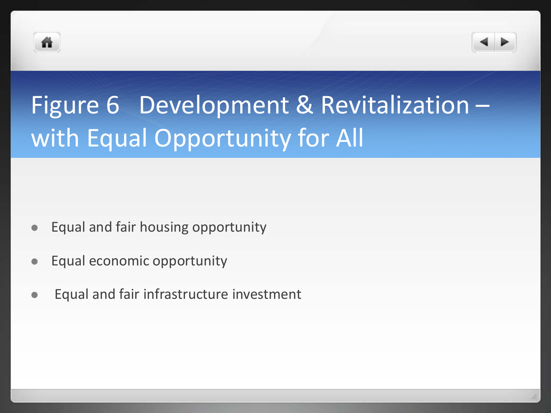



## Figure 6 Development & Revitalization – with Equal Opportunity for All

- Equal and fair housing opportunity
- Equal economic opportunity
- Equal and fair infrastructure investment